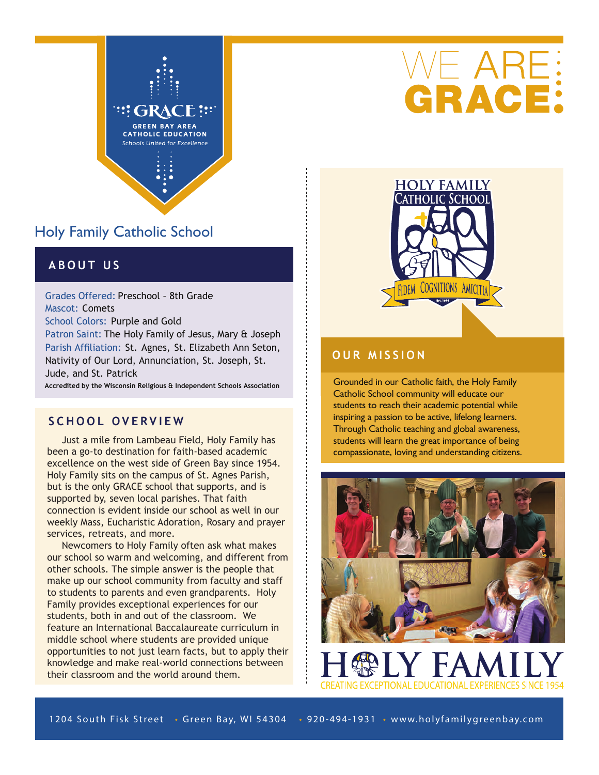

# Holy Family Catholic School

## **ABOUT US**

Grades Offered: Preschool – 8th Grade Mascot: Comets School Colors: Purple and Gold Patron Saint: The Holy Family of Jesus, Mary & Joseph Parish Affiliation: St. Agnes, St. Elizabeth Ann Seton, Nativity of Our Lord, Annunciation, St. Joseph, St. Jude, and St. Patrick

Accredited by the Wisconsin Religious & Independent Schools Association

#### **SCHOOL OVERVIEW**

 Just a mile from Lambeau Field, Holy Family has been a go-to destination for faith-based academic excellence on the west side of Green Bay since 1954. Holy Family sits on the campus of St. Agnes Parish, but is the only GRACE school that supports, and is supported by, seven local parishes. That faith connection is evident inside our school as well in our weekly Mass, Eucharistic Adoration, Rosary and prayer services, retreats, and more.

 Newcomers to Holy Family often ask what makes our school so warm and welcoming, and different from other schools. The simple answer is the people that make up our school community from faculty and staff to students to parents and even grandparents. Holy Family provides exceptional experiences for our students, both in and out of the classroom. We feature an International Baccalaureate curriculum in middle school where students are provided unique opportunities to not just learn facts, but to apply their knowledge and make real-world connections between their classroom and the world around them.





### **OUR MISSION**

Grounded in our Catholic faith, the Holy Family Catholic School community will educate our students to reach their academic potential while inspiring a passion to be active, lifelong learners. Through Catholic teaching and global awareness, students will learn the great importance of being compassionate, loving and understanding citizens.